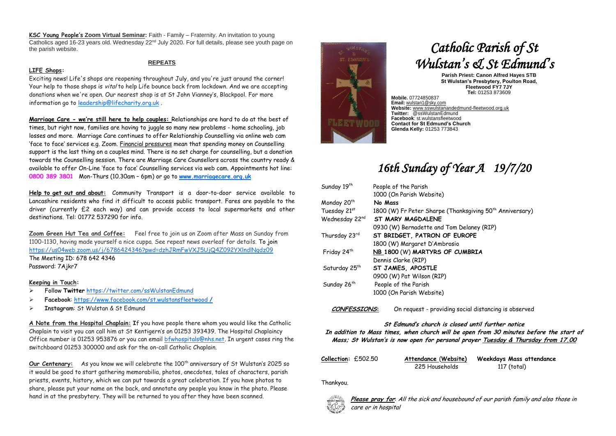**KSC Young People's Zoom Virtual Seminar:** Faith - Family – Fraternity. An invitation to young Catholics aged 16-23 years old. Wednesday  $22<sup>nd</sup>$  July 2020. For full details, please see youth page on the parish website.

#### **LIFE Shops:**

### **REPEATS**

Exciting news! Life's shops are reopening throughout July, and you're just around the corner! Your help to those shops is *vital* to help Life bounce back from lockdown. And we are accepting donations when we're open. Our nearest shop is at St John Vianney's, Blackpool. For more information go t[o leadership@lifecharity.org.uk](mailto:leadership@lifecharity.org.uk).

**Marriage Care - we're still here to help couples:** Relationships are hard to do at the best of times, but right now, families are having to juggle so many new problems - home schooling, job losses and more. Marriage Care continues to offer Relationship Counselling via online web cam 'face to face' services e.g. Zoom. Financial pressures mean that spending money on Counselling support is the last thing on a couples mind. There is no set charge for counselling, but a donation towards the Counselling session. There are Marriage Care Counsellors across the country ready & available to offer On-Line 'face to face' Counselling services via web cam. Appointments hot line: **0800 389 3801** Mon-Thurs (10.30am – 6pm) or go to **[www.marriagecare.org.uk](http://www.marriagecare.org.uk/)**

**Help to get out and about:** Community Transport is a door-to-door service available to Lancashire residents who find it difficult to access public transport. Fares are payable to the driver (currently £2 each way) and can provide access to local supermarkets and other destinations. Tel: 01772 537290 for info.

**Zoom Green Hut Tea and Coffee:** Feel free to join us on Zoom after Mass on Sunday from 1100-1130, having made yourself a nice cuppa. See repeat news overleaf for details. To join <https://us04web.zoom.us/j/6786424346?pwd=dzhJRmFwVXJ5UjQ4Z092YXlndlNqdz09> The Meeting ID: 678 642 4346 Password: 7Ajkr7

#### **Keeping in Touch:**

- Follow **Twitter** <https://twitter.com/ssWulstanEdmund>
- **Facebook**: [https://www.facebook.com/st.wulstansfleetwood](https://www.facebook.com/st.wulstansfleetwood /) **/**
- **Instagram**: St Wulstan & St Edmund

**A Note from the Hospital Chaplain: I**f you have people there whom you would like the Catholic Chaplain to visit you can call him at St Kentigern's on 01253 393439. The Hospital Chaplaincy Office number is 01253 953876 or you can emai[l bfwhospitals@nhs.net.](mailto:bfwhospitals@nhs.net) In urgent cases ring the switchboard 01253 300000 and ask for the on-call Catholic Chaplain.

Our Centenary: As you know we will celebrate the 100<sup>th</sup> anniversary of St Wulstan's 2025 so it would be good to start gathering memorabilia, photos, anecdotes, tales of characters, parish priests, events, history, which we can put towards a great celebration. If you have photos to share, please put your name on the back, and annotate any people you know in the photo. Please hand in at the presbytery. They will be returned to you after they have been scanned.



# *Catholic Parish of St Wulstan's & St Edmund's*

**Parish Priest: Canon Alfred Hayes STB St Wulstan's Presbytery, Poulton Road, Fleetwood FY7 7JY Tel:** 01253 873609

**Mobile.** 07724850837 **Email:** [wulstan1@sky.com](mailto:wulstan1@sky.com) **Website:** [www.sswulstanandedmund-fleetwood.org.uk](http://www.sswulstanandedmund-fleetwood.org.uk/) **Twitter:** @ssWulstanEdmund **Facebook**: st.wulstansfleetwood **Contact for St Edmund's Church Glenda Kelly:** 01253 773843

# *16th Sunday of Year A 19/7/20*

| Sunday 19th               | People of the Parish                                                 |  |
|---------------------------|----------------------------------------------------------------------|--|
|                           | 1000 (On Parish Website)                                             |  |
| Monday 20 <sup>th</sup>   | No Mass                                                              |  |
| Tuesday 21st              | 1800 (W) Fr Peter Sharpe (Thanksgiving 50 <sup>th</sup> Anniversary) |  |
| Wednesday 22nd            | ST MARY MAGDALENE                                                    |  |
|                           | 0930 (W) Bernadette and Tom Delaney (RIP)                            |  |
| Thursday 23rd             | ST BRIDGET, PATRON OF EUROPE                                         |  |
|                           | 1800 (W) Margaret D'Ambrosio                                         |  |
| Friday 24 <sup>th</sup>   | NB_1800 (W) MARTYRS OF CUMBRIA                                       |  |
|                           | Dennis Clarke (RIP)                                                  |  |
| Saturday 25 <sup>th</sup> | ST JAMES, APOSTLE                                                    |  |
|                           | 0900 (W) Pat Wilson (RIP)                                            |  |
| Sunday 26 <sup>th</sup>   | People of the Parish                                                 |  |
|                           | 1000 (On Parish Website)                                             |  |

**CONFESSIONS:** On request - providing social distancing is observed

# **St Edmund's church is closed until further notice**

#### **In addition to Mass times, when church will be open from 30 minutes before the start of Mass; St Wulstan's is now open for personal prayer Tuesday & Thursday from 17.00**

| Collection: £502.50 | <u>Attendance (Website)</u>   | Weekdays Mass attendance |
|---------------------|-------------------------------|--------------------------|
|                     | $225$ $\pm 1$ $\pm 1$ $\pm 1$ | 117(1.1)                 |

225 Households 117 (total)

## Thankyou.



**Please pray for**: All the sick and housebound of our parish family and also those in care or in hospital